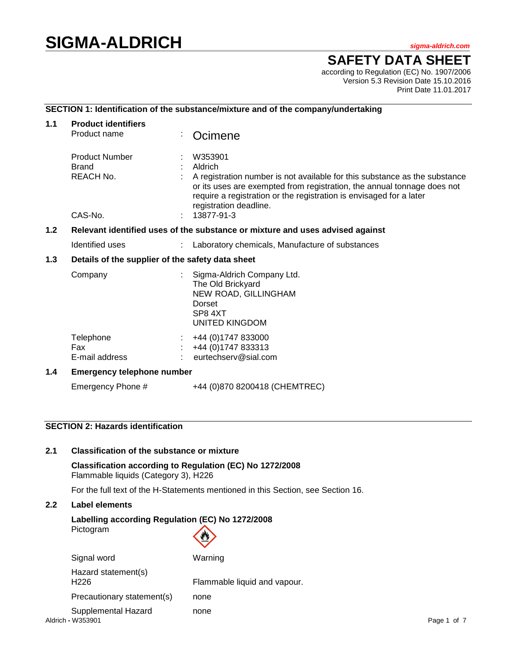# **SIGMA-ALDRICH** *sigma-aldrich.com*

## **SAFETY DATA SHEET**

according to Regulation (EC) No. 1907/2006 Version 5.3 Revision Date 15.10.2016 Print Date 11.01.2017

## **SECTION 1: Identification of the substance/mixture and of the company/undertaking**

| 1.1 | <b>Product identifiers</b><br>Product name                                    |                    | Ocimene                                                                                                                                                                                                                                                |  |  |
|-----|-------------------------------------------------------------------------------|--------------------|--------------------------------------------------------------------------------------------------------------------------------------------------------------------------------------------------------------------------------------------------------|--|--|
|     | <b>Product Number</b><br><b>Brand</b><br>REACH No.                            | W353901<br>Aldrich | A registration number is not available for this substance as the substance<br>or its uses are exempted from registration, the annual tonnage does not<br>require a registration or the registration is envisaged for a later<br>registration deadline. |  |  |
|     | CAS-No.<br>13877-91-3                                                         |                    |                                                                                                                                                                                                                                                        |  |  |
| 1.2 | Relevant identified uses of the substance or mixture and uses advised against |                    |                                                                                                                                                                                                                                                        |  |  |
|     | Identified uses                                                               |                    | Laboratory chemicals, Manufacture of substances                                                                                                                                                                                                        |  |  |
| 1.3 | Details of the supplier of the safety data sheet                              |                    |                                                                                                                                                                                                                                                        |  |  |
|     | Company                                                                       | Dorset<br>SP8 4XT  | Sigma-Aldrich Company Ltd.<br>The Old Brickyard<br>NEW ROAD, GILLINGHAM<br>UNITED KINGDOM                                                                                                                                                              |  |  |
|     | Telephone<br>Fax<br>E-mail address                                            |                    | +44 (0) 1747 833000<br>+44 (0) 1747 833313<br>eurtechserv@sial.com                                                                                                                                                                                     |  |  |
| 1.4 | <b>Emergency telephone number</b>                                             |                    |                                                                                                                                                                                                                                                        |  |  |
|     | Emergency Phone #                                                             |                    | +44 (0)870 8200418 (CHEMTREC)                                                                                                                                                                                                                          |  |  |

## **SECTION 2: Hazards identification**

## **2.1 Classification of the substance or mixture**

**Classification according to Regulation (EC) No 1272/2008** Flammable liquids (Category 3), H226

For the full text of the H-Statements mentioned in this Section, see Section 16.

## **2.2 Label elements**

## **Labelling according Regulation (EC) No 1272/2008** Pictogram

| Signal word                              | Warning                      |                  |
|------------------------------------------|------------------------------|------------------|
| Hazard statement(s)<br>H <sub>226</sub>  | Flammable liquid and vapour. |                  |
| Precautionary statement(s)               | none                         |                  |
| Supplemental Hazard<br>Aldrich - W353901 | none                         | l of 7<br>Page 1 |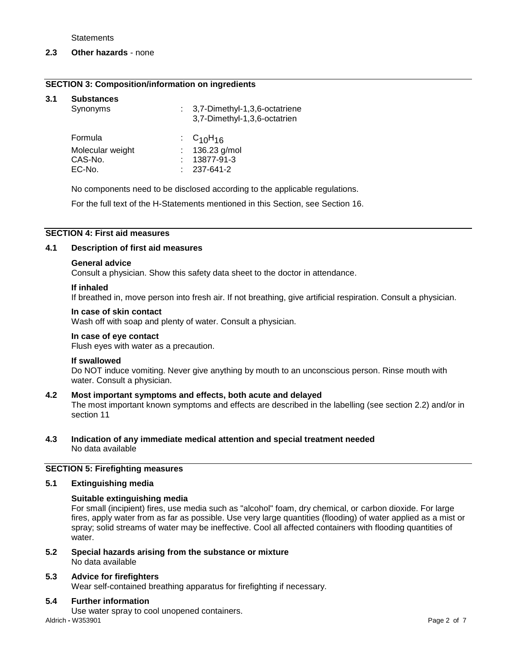**Statements** 

#### **2.3 Other hazards** - none

#### **SECTION 3: Composition/information on ingredients**

#### **3.1 Substances**

| Synonyms         | : 3,7-Dimethyl-1,3,6-octatriene<br>3,7-Dimethyl-1,3,6-octatrien |  |
|------------------|-----------------------------------------------------------------|--|
| Formula          | $\cdot$ C <sub>10</sub> H <sub>16</sub>                         |  |
| Molecular weight | : 136.23 g/mol                                                  |  |
| CAS-No.          | 13877-91-3                                                      |  |
| EC-No.           | $: 237 - 641 - 2$                                               |  |

No components need to be disclosed according to the applicable regulations.

For the full text of the H-Statements mentioned in this Section, see Section 16.

#### **SECTION 4: First aid measures**

#### **4.1 Description of first aid measures**

#### **General advice**

Consult a physician. Show this safety data sheet to the doctor in attendance.

#### **If inhaled**

If breathed in, move person into fresh air. If not breathing, give artificial respiration. Consult a physician.

#### **In case of skin contact**

Wash off with soap and plenty of water. Consult a physician.

#### **In case of eye contact**

Flush eyes with water as a precaution.

#### **If swallowed**

Do NOT induce vomiting. Never give anything by mouth to an unconscious person. Rinse mouth with water. Consult a physician.

#### **4.2 Most important symptoms and effects, both acute and delayed**

The most important known symptoms and effects are described in the labelling (see section 2.2) and/or in section 11

#### **4.3 Indication of any immediate medical attention and special treatment needed** No data available

## **SECTION 5: Firefighting measures**

#### **5.1 Extinguishing media**

#### **Suitable extinguishing media**

For small (incipient) fires, use media such as "alcohol" foam, dry chemical, or carbon dioxide. For large fires, apply water from as far as possible. Use very large quantities (flooding) of water applied as a mist or spray; solid streams of water may be ineffective. Cool all affected containers with flooding quantities of water.

**5.2 Special hazards arising from the substance or mixture** No data available

#### **5.3 Advice for firefighters**

Wear self-contained breathing apparatus for firefighting if necessary.

#### **5.4 Further information**

Use water spray to cool unopened containers.

Aldrich **-** W353901 Page 2 of 7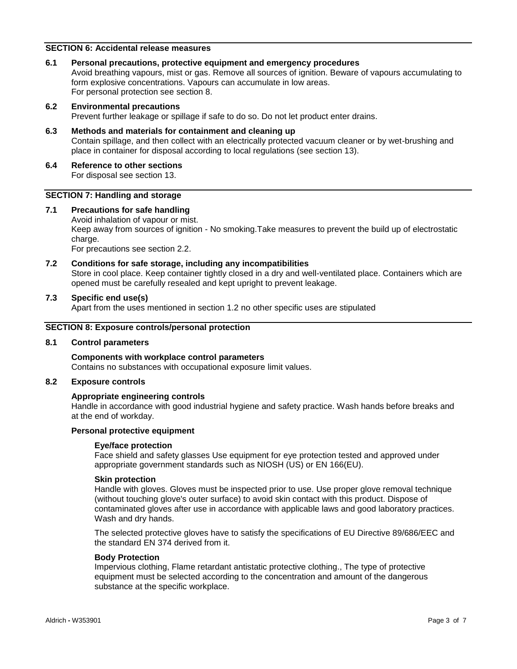## **SECTION 6: Accidental release measures**

#### **6.1 Personal precautions, protective equipment and emergency procedures**

Avoid breathing vapours, mist or gas. Remove all sources of ignition. Beware of vapours accumulating to form explosive concentrations. Vapours can accumulate in low areas. For personal protection see section 8.

#### **6.2 Environmental precautions**

Prevent further leakage or spillage if safe to do so. Do not let product enter drains.

#### **6.3 Methods and materials for containment and cleaning up** Contain spillage, and then collect with an electrically protected vacuum cleaner or by wet-brushing and place in container for disposal according to local regulations (see section 13).

**6.4 Reference to other sections** For disposal see section 13.

#### **SECTION 7: Handling and storage**

## **7.1 Precautions for safe handling**

Avoid inhalation of vapour or mist. Keep away from sources of ignition - No smoking.Take measures to prevent the build up of electrostatic charge.

For precautions see section 2.2.

#### **7.2 Conditions for safe storage, including any incompatibilities**

Store in cool place. Keep container tightly closed in a dry and well-ventilated place. Containers which are opened must be carefully resealed and kept upright to prevent leakage.

#### **7.3 Specific end use(s)**

Apart from the uses mentioned in section 1.2 no other specific uses are stipulated

#### **SECTION 8: Exposure controls/personal protection**

## **8.1 Control parameters**

#### **Components with workplace control parameters** Contains no substances with occupational exposure limit values.

#### **8.2 Exposure controls**

#### **Appropriate engineering controls**

Handle in accordance with good industrial hygiene and safety practice. Wash hands before breaks and at the end of workday.

#### **Personal protective equipment**

#### **Eye/face protection**

Face shield and safety glasses Use equipment for eye protection tested and approved under appropriate government standards such as NIOSH (US) or EN 166(EU).

#### **Skin protection**

Handle with gloves. Gloves must be inspected prior to use. Use proper glove removal technique (without touching glove's outer surface) to avoid skin contact with this product. Dispose of contaminated gloves after use in accordance with applicable laws and good laboratory practices. Wash and dry hands.

The selected protective gloves have to satisfy the specifications of EU Directive 89/686/EEC and the standard EN 374 derived from it.

## **Body Protection**

Impervious clothing, Flame retardant antistatic protective clothing., The type of protective equipment must be selected according to the concentration and amount of the dangerous substance at the specific workplace.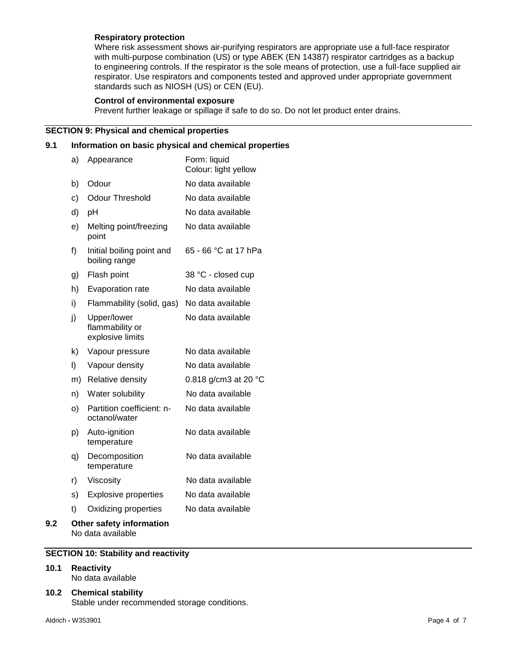#### **Respiratory protection**

Where risk assessment shows air-purifying respirators are appropriate use a full-face respirator with multi-purpose combination (US) or type ABEK (EN 14387) respirator cartridges as a backup to engineering controls. If the respirator is the sole means of protection, use a full-face supplied air respirator. Use respirators and components tested and approved under appropriate government standards such as NIOSH (US) or CEN (EU).

#### **Control of environmental exposure**

Prevent further leakage or spillage if safe to do so. Do not let product enter drains.

## **SECTION 9: Physical and chemical properties**

## **9.1 Information on basic physical and chemical properties**

|     | a) | Appearance                                         | Form: liquid<br>Colour: light yellow |
|-----|----|----------------------------------------------------|--------------------------------------|
|     | b) | Odour                                              | No data available                    |
|     | c) | <b>Odour Threshold</b>                             | No data available                    |
|     | d) | рH                                                 | No data available                    |
|     | e) | Melting point/freezing<br>point                    | No data available                    |
|     | f) | Initial boiling point and<br>boiling range         | 65 - 66 °C at 17 hPa                 |
|     | g) | Flash point                                        | 38 °C - closed cup                   |
|     | h) | Evaporation rate                                   | No data available                    |
|     | i) | Flammability (solid, gas)                          | No data available                    |
|     | j) | Upper/lower<br>flammability or<br>explosive limits | No data available                    |
|     | k) | Vapour pressure                                    | No data available                    |
|     | I) | Vapour density                                     | No data available                    |
|     | m) | Relative density                                   | 0.818 g/cm3 at 20 °C                 |
|     | n) | Water solubility                                   | No data available                    |
|     | O) | Partition coefficient: n-<br>octanol/water         | No data available                    |
|     | p) | Auto-ignition<br>temperature                       | No data available                    |
|     | q) | Decomposition<br>temperature                       | No data available                    |
|     | r) | Viscosity                                          | No data available                    |
|     | s) | <b>Explosive properties</b>                        | No data available                    |
|     | t) | Oxidizing properties                               | No data available                    |
| 9.2 |    | Other safety information                           |                                      |

## No data available

## **SECTION 10: Stability and reactivity**

#### **10.1 Reactivity**

No data available

## **10.2 Chemical stability**

Stable under recommended storage conditions.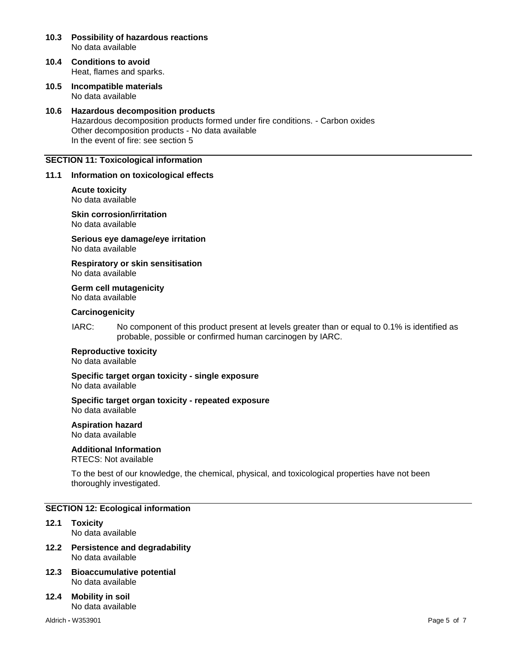- **10.3 Possibility of hazardous reactions** No data available
- **10.4 Conditions to avoid** Heat, flames and sparks.
- **10.5 Incompatible materials** No data available

## **10.6 Hazardous decomposition products** Hazardous decomposition products formed under fire conditions. - Carbon oxides Other decomposition products - No data available In the event of fire: see section 5

## **SECTION 11: Toxicological information**

#### **11.1 Information on toxicological effects**

#### **Acute toxicity** No data available

**Skin corrosion/irritation** No data available

**Serious eye damage/eye irritation** No data available

**Respiratory or skin sensitisation** No data available

**Germ cell mutagenicity** No data available

#### **Carcinogenicity**

IARC: No component of this product present at levels greater than or equal to 0.1% is identified as probable, possible or confirmed human carcinogen by IARC.

## **Reproductive toxicity**

No data available

**Specific target organ toxicity - single exposure** No data available

**Specific target organ toxicity - repeated exposure** No data available

**Aspiration hazard**

No data available

## **Additional Information**

RTECS: Not available

To the best of our knowledge, the chemical, physical, and toxicological properties have not been thoroughly investigated.

#### **SECTION 12: Ecological information**

- **12.1 Toxicity** No data available
- **12.2 Persistence and degradability** No data available
- **12.3 Bioaccumulative potential** No data available
- **12.4 Mobility in soil** No data available